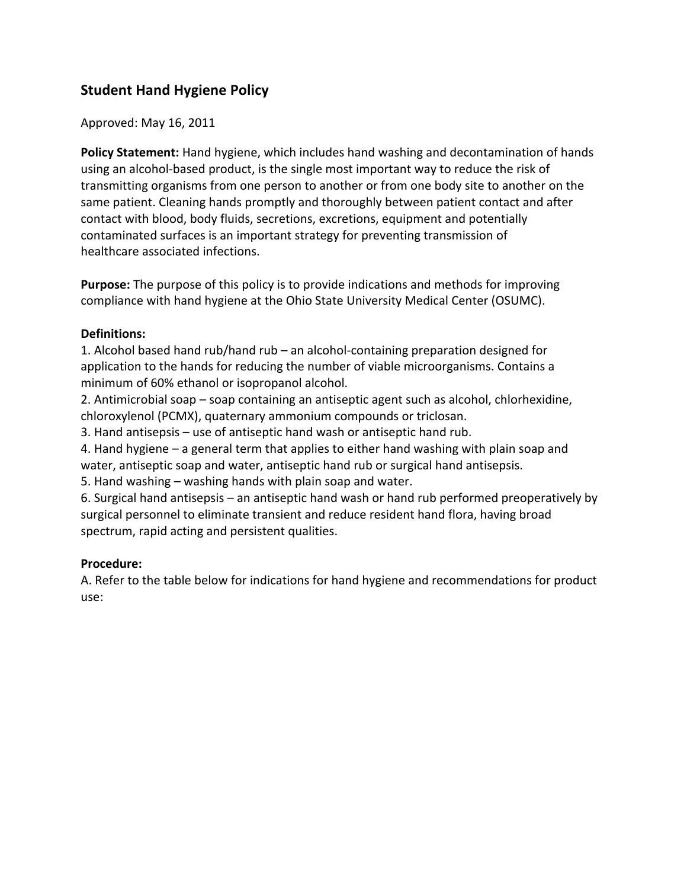# **Student Hand Hygiene Policy**

Approved: May 16, 2011

**Policy Statement:** Hand hygiene, which includes hand washing and decontamination of hands using an alcohol-based product, is the single most important way to reduce the risk of transmitting organisms from one person to another or from one body site to another on the same patient. Cleaning hands promptly and thoroughly between patient contact and after contact with blood, body fluids, secretions, excretions, equipment and potentially contaminated surfaces is an important strategy for preventing transmission of healthcare associated infections.

**Purpose:** The purpose of this policy is to provide indications and methods for improving compliance with hand hygiene at the Ohio State University Medical Center (OSUMC).

### **Definitions:**

1. Alcohol based hand rub/hand rub  $-$  an alcohol-containing preparation designed for application to the hands for reducing the number of viable microorganisms. Contains a minimum of 60% ethanol or isopropanol alcohol.

2. Antimicrobial soap – soap containing an antiseptic agent such as alcohol, chlorhexidine, chloroxylenol (PCMX), quaternary ammonium compounds or triclosan.

3. Hand antisepsis – use of antiseptic hand wash or antiseptic hand rub.

4. Hand hygiene  $-$  a general term that applies to either hand washing with plain soap and water, antiseptic soap and water, antiseptic hand rub or surgical hand antisepsis.

5. Hand washing – washing hands with plain soap and water.

6. Surgical hand antisepsis – an antiseptic hand wash or hand rub performed preoperatively by surgical personnel to eliminate transient and reduce resident hand flora, having broad spectrum, rapid acting and persistent qualities.

## **Procedure:**

A. Refer to the table below for indications for hand hygiene and recommendations for product use: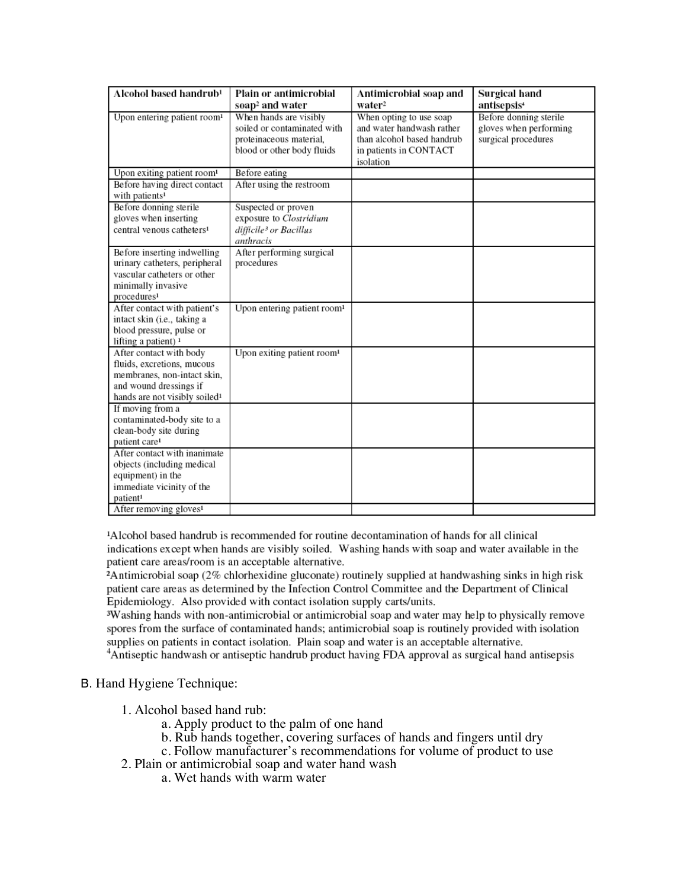| Alcohol based handrub <sup>1</sup>                                                                                                                                         | Plain or antimicrobial                                                                                         | Antimicrobial soap and                                                                                                    | Surgical hand                                                           |
|----------------------------------------------------------------------------------------------------------------------------------------------------------------------------|----------------------------------------------------------------------------------------------------------------|---------------------------------------------------------------------------------------------------------------------------|-------------------------------------------------------------------------|
|                                                                                                                                                                            | soap <sup>2</sup> and water                                                                                    | water <sup>2</sup>                                                                                                        | antisepsis <sup>4</sup>                                                 |
| Upon entering patient room <sup>1</sup>                                                                                                                                    | When hands are visibly<br>soiled or contaminated with<br>proteinaceous material,<br>blood or other body fluids | When opting to use soap<br>and water handwash rather<br>than alcohol based handrub<br>in patients in CONTACT<br>isolation | Before donning sterile<br>gloves when performing<br>surgical procedures |
| Upon exiting patient room <sup>1</sup>                                                                                                                                     | Before eating                                                                                                  |                                                                                                                           |                                                                         |
| Before having direct contact<br>with patients <sup>1</sup>                                                                                                                 | After using the restroom                                                                                       |                                                                                                                           |                                                                         |
| Before donning sterile<br>gloves when inserting<br>central venous catheters <sup>1</sup>                                                                                   | Suspected or proven<br>exposure to Clostridium<br>difficile <sup>3</sup> or Bacillus<br>anthracis              |                                                                                                                           |                                                                         |
| Before inserting indwelling<br>urinary catheters, peripheral<br>vascular catheters or other<br>minimally invasive<br>procedures <sup>1</sup>                               | After performing surgical<br>procedures                                                                        |                                                                                                                           |                                                                         |
| After contact with patient's<br>intact skin (i.e., taking a<br>blood pressure, pulse or<br>lifting a patient) <sup>1</sup>                                                 | Upon entering patient room <sup>1</sup>                                                                        |                                                                                                                           |                                                                         |
| After contact with body<br>fluids, excretions, mucous<br>membranes, non-intact skin,<br>and wound dressings if<br>hands are not visibly soiled <sup>1</sup>                | Upon exiting patient room <sup>1</sup>                                                                         |                                                                                                                           |                                                                         |
| If moving from a<br>contaminated-body site to a<br>clean-body site during<br>patient care <sup>1</sup>                                                                     |                                                                                                                |                                                                                                                           |                                                                         |
| After contact with inanimate<br>objects (including medical<br>equipment) in the<br>immediate vicinity of the<br>patient <sup>1</sup><br>After removing gloves <sup>1</sup> |                                                                                                                |                                                                                                                           |                                                                         |

<sup>1</sup>Alcohol based handrub is recommended for routine decontamination of hands for all clinical indications except when hands are visibly soiled. Washing hands with soap and water available in the patient care areas/room is an acceptable alternative.

<sup>2</sup>Antimicrobial soap (2% chlorhexidine gluconate) routinely supplied at handwashing sinks in high risk patient care areas as determined by the Infection Control Committee and the Department of Clinical Epidemiology. Also provided with contact isolation supply carts/units.

<sup>3</sup>Washing hands with non-antimicrobial or antimicrobial soap and water may help to physically remove spores from the surface of contaminated hands; antimicrobial soap is routinely provided with isolation supplies on patients in contact isolation. Plain soap and water is an acceptable alternative.

<sup>4</sup>Antiseptic handwash or antiseptic handrub product having FDA approval as surgical hand antisepsis

#### B. Hand Hygiene Technique:

- 1. Alcohol based hand rub:
	- a. Apply product to the palm of one hand
	- b. Rub hands together, covering surfaces of hands and fingers until dry
	- c. Follow manufacturer's recommendations for volume of product to use
- 2. Plain or antimicrobial soap and water hand wash
	- a. Wet hands with warm water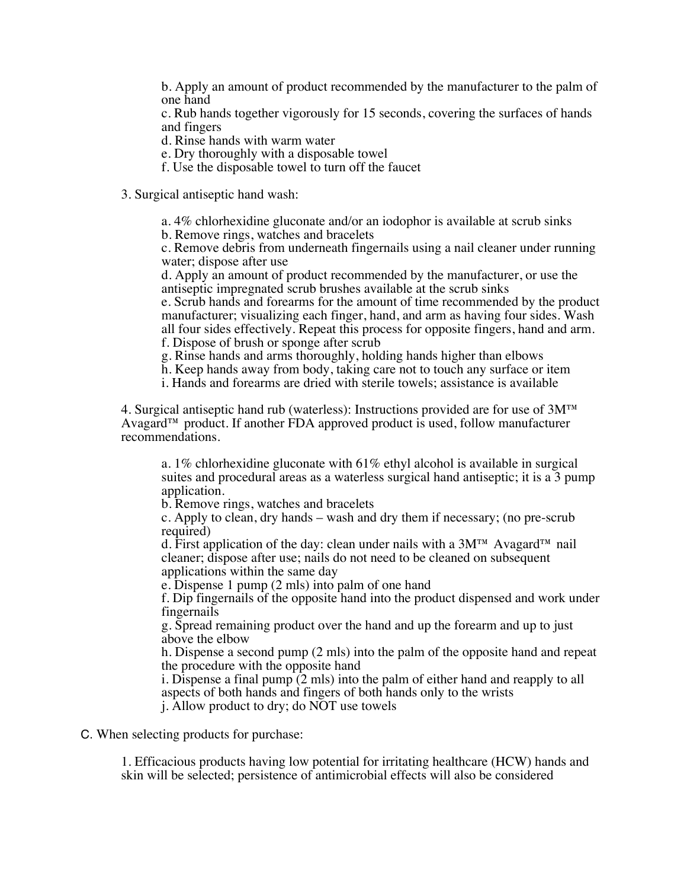b. Apply an amount of product recommended by the manufacturer to the palm of one hand

c. Rub hands together vigorously for 15 seconds, covering the surfaces of hands and fingers

d. Rinse hands with warm water

e. Dry thoroughly with a disposable towel

f. Use the disposable towel to turn off the faucet

3. Surgical antiseptic hand wash:

a. 4% chlorhexidine gluconate and/or an iodophor is available at scrub sinks

b. Remove rings, watches and bracelets

c. Remove debris from underneath fingernails using a nail cleaner under running water; dispose after use

d. Apply an amount of product recommended by the manufacturer, or use the antiseptic impregnated scrub brushes available at the scrub sinks

e. Scrub hands and forearms for the amount of time recommended by the product manufacturer; visualizing each finger, hand, and arm as having four sides. Wash all four sides effectively. Repeat this process for opposite fingers, hand and arm.

f. Dispose of brush or sponge after scrub

g. Rinse hands and arms thoroughly, holding hands higher than elbows

h. Keep hands away from body, taking care not to touch any surface or item

i. Hands and forearms are dried with sterile towels; assistance is available

4. Surgical antiseptic hand rub (waterless): Instructions provided are for use of  $3M<sup>TM</sup>$ Avagard™ product. If another FDA approved product is used, follow manufacturer recommendations.

a. 1% chlorhexidine gluconate with 61% ethyl alcohol is available in surgical suites and procedural areas as a waterless surgical hand antiseptic; it is a 3 pump application.

b. Remove rings, watches and bracelets

c. Apply to clean, dry hands – wash and dry them if necessary; (no pre-scrub required)

d. First application of the day: clean under nails with a  $3M^{TM}$  Avagard<sup>™</sup> nail cleaner; dispose after use; nails do not need to be cleaned on subsequent applications within the same day

e. Dispense 1 pump (2 mls) into palm of one hand

f. Dip fingernails of the opposite hand into the product dispensed and work under fingernails

g. Spread remaining product over the hand and up the forearm and up to just above the elbow

h. Dispense a second pump (2 mls) into the palm of the opposite hand and repeat the procedure with the opposite hand

i. Dispense a final pump  $(2 \text{ mls})$  into the palm of either hand and reapply to all aspects of both hands and fingers of both hands only to the wrists

j. Allow product to dry; do NOT use towels

C. When selecting products for purchase:

1. Efficacious products having low potential for irritating healthcare (HCW) hands and skin will be selected; persistence of antimicrobial effects will also be considered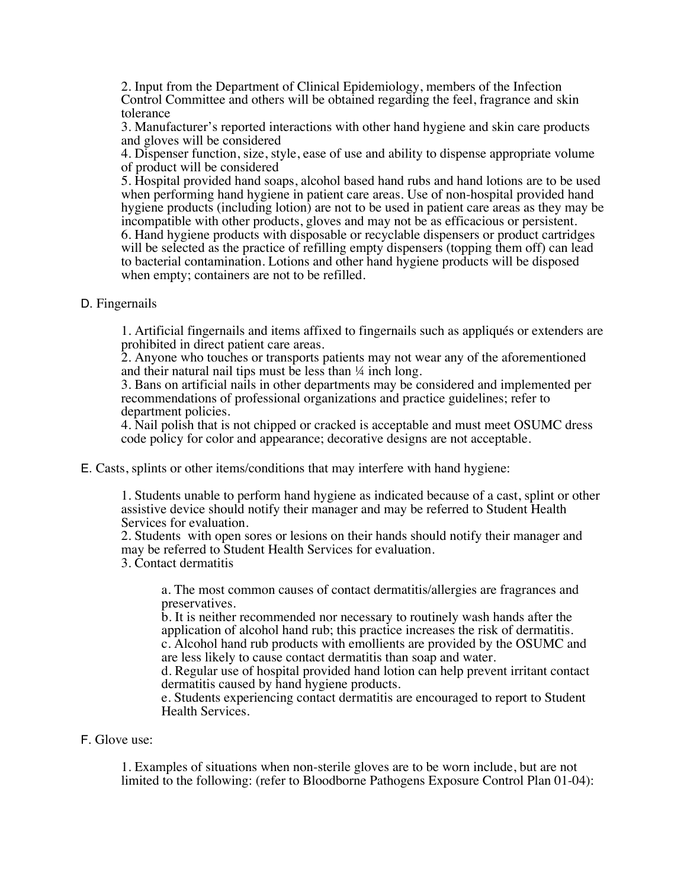2. Input from the Department of Clinical Epidemiology, members of the Infection Control Committee and others will be obtained regarding the feel, fragrance and skin tolerance

3. Manufacturer's reported interactions with other hand hygiene and skin care products and gloves will be considered

4. Dispenser function, size, style, ease of use and ability to dispense appropriate volume of product will be considered

5. Hospital provided hand soaps, alcohol based hand rubs and hand lotions are to be used when performing hand hygiene in patient care areas. Use of non-hospital provided hand hygiene products (including lotion) are not to be used in patient care areas as they may be incompatible with other products, gloves and may not be as efficacious or persistent. 6. Hand hygiene products with disposable or recyclable dispensers or product cartridges will be selected as the practice of refilling empty dispensers (topping them off) can lead to bacterial contamination. Lotions and other hand hygiene products will be disposed when empty; containers are not to be refilled.

D. Fingernails

1. Artificial fingernails and items affixed to fingernails such as appliqués or extenders are prohibited in direct patient care areas.

2. Anyone who touches or transports patients may not wear any of the aforementioned and their natural nail tips must be less than ¼ inch long.

3. Bans on artificial nails in other departments may be considered and implemented per recommendations of professional organizations and practice guidelines; refer to department policies.

4. Nail polish that is not chipped or cracked is acceptable and must meet OSUMC dress code policy for color and appearance; decorative designs are not acceptable.

E. Casts, splints or other items/conditions that may interfere with hand hygiene:

1. Students unable to perform hand hygiene as indicated because of a cast, splint or other assistive device should notify their manager and may be referred to Student Health Services for evaluation.

2. Students with open sores or lesions on their hands should notify their manager and may be referred to Student Health Services for evaluation.

3. Contact dermatitis

a. The most common causes of contact dermatitis/allergies are fragrances and preservatives.

b. It is neither recommended nor necessary to routinely wash hands after the application of alcohol hand rub; this practice increases the risk of dermatitis. c. Alcohol hand rub products with emollients are provided by the OSUMC and are less likely to cause contact dermatitis than soap and water.

d. Regular use of hospital provided hand lotion can help prevent irritant contact dermatitis caused by hand hygiene products.

e. Students experiencing contact dermatitis are encouraged to report to Student Health Services.

F. Glove use:

1. Examples of situations when non-sterile gloves are to be worn include, but are not limited to the following: (refer to Bloodborne Pathogens Exposure Control Plan 01-04):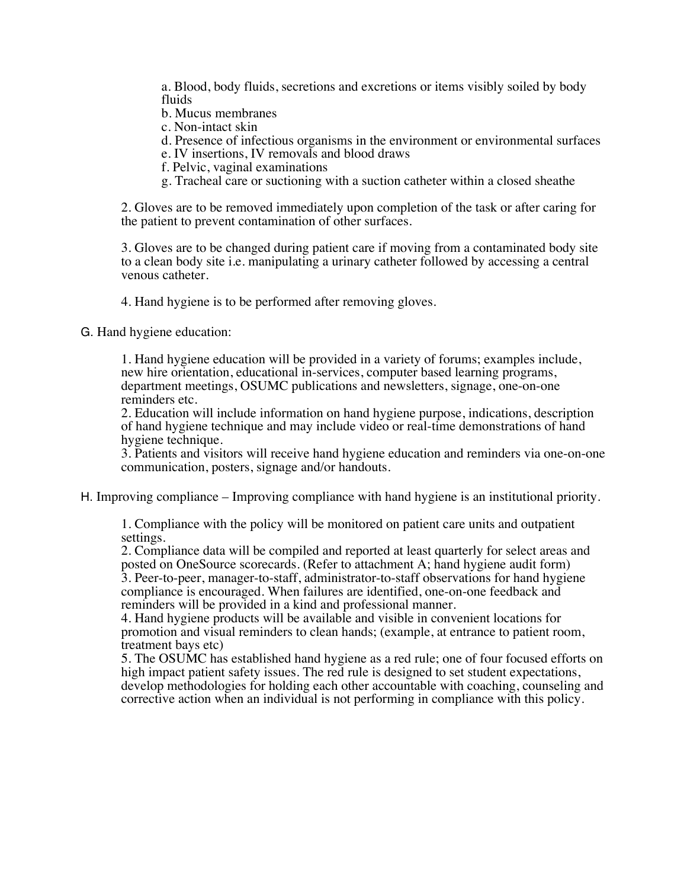a. Blood, body fluids, secretions and excretions or items visibly soiled by body fluids

b. Mucus membranes

c. Non-intact skin

d. Presence of infectious organisms in the environment or environmental surfaces

- e. IV insertions, IV removals and blood draws
- f. Pelvic, vaginal examinations
- g. Tracheal care or suctioning with a suction catheter within a closed sheathe

2. Gloves are to be removed immediately upon completion of the task or after caring for the patient to prevent contamination of other surfaces.

3. Gloves are to be changed during patient care if moving from a contaminated body site to a clean body site i.e. manipulating a urinary catheter followed by accessing a central venous catheter.

4. Hand hygiene is to be performed after removing gloves.

G. Hand hygiene education:

1. Hand hygiene education will be provided in a variety of forums; examples include, new hire orientation, educational in-services, computer based learning programs, department meetings, OSUMC publications and newsletters, signage, one-on-one reminders etc.

2. Education will include information on hand hygiene purpose, indications, description of hand hygiene technique and may include video or real-time demonstrations of hand hygiene technique.

3. Patients and visitors will receive hand hygiene education and reminders via one-on-one communication, posters, signage and/or handouts.

H. Improving compliance – Improving compliance with hand hygiene is an institutional priority.

1. Compliance with the policy will be monitored on patient care units and outpatient settings.

2. Compliance data will be compiled and reported at least quarterly for select areas and posted on OneSource scorecards. (Refer to attachment A; hand hygiene audit form) 3. Peer-to-peer, manager-to-staff, administrator-to-staff observations for hand hygiene compliance is encouraged. When failures are identified, one-on-one feedback and reminders will be provided in a kind and professional manner.

4. Hand hygiene products will be available and visible in convenient locations for promotion and visual reminders to clean hands; (example, at entrance to patient room, treatment bays etc)

5. The OSUMC has established hand hygiene as a red rule; one of four focused efforts on high impact patient safety issues. The red rule is designed to set student expectations, develop methodologies for holding each other accountable with coaching, counseling and corrective action when an individual is not performing in compliance with this policy.